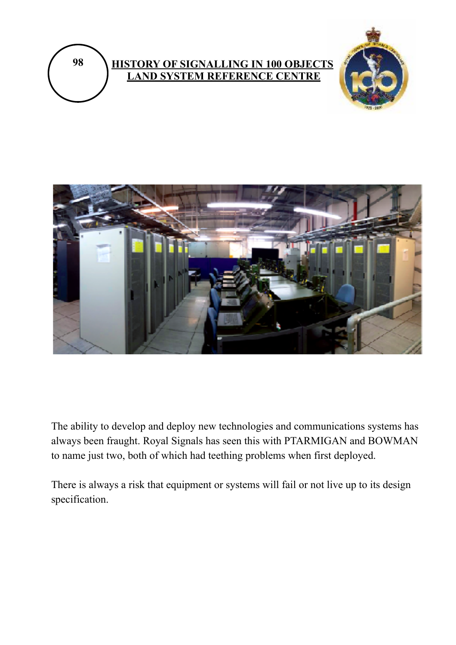





The ability to develop and deploy new technologies and communications systems has always been fraught. Royal Signals has seen this with PTARMIGAN and BOWMAN to name just two, both of which had teething problems when first deployed.

There is always a risk that equipment or systems will fail or not live up to its design specification.